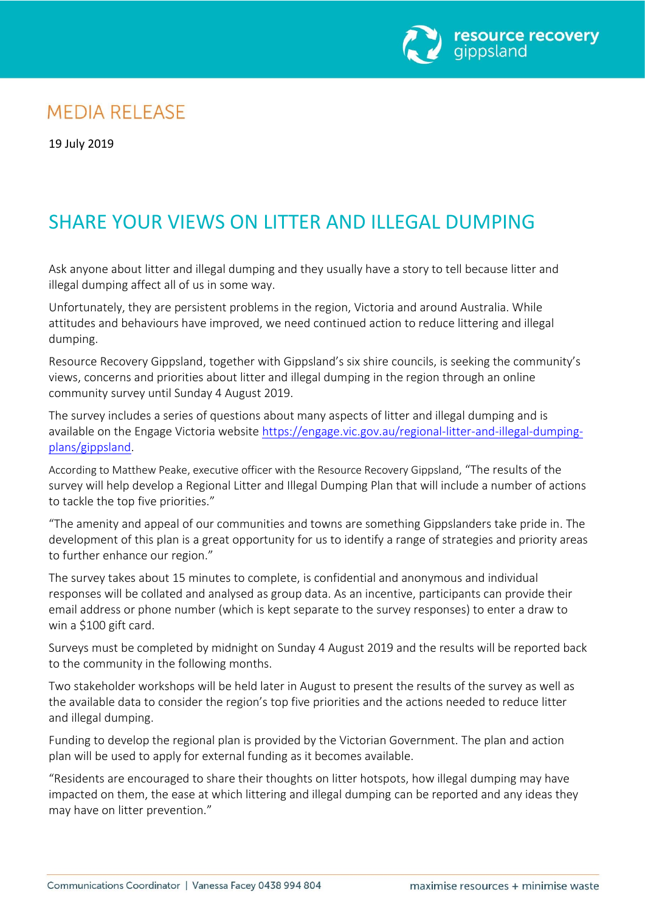

## **MEDIA RELEASE**

19 July 2019

## SHARE YOUR VIEWS ON LITTER AND ILLEGAL DUMPING

Ask anyone about litter and illegal dumping and they usually have a story to tell because litter and illegal dumping affect all of us in some way.

Unfortunately, they are persistent problems in the region, Victoria and around Australia. While attitudes and behaviours have improved, we need continued action to reduce littering and illegal dumping.

Resource Recovery Gippsland, together with Gippsland's six shire councils, is seeking the community's views, concerns and priorities about litter and illegal dumping in the region through an online community survey until Sunday 4 August 2019.

The survey includes a series of questions about many aspects of litter and illegal dumping and is available on the Engage Victoria website [https://engage.vic.gov.au/regional-litter-and-illegal-dumping](https://engage.vic.gov.au/regional-litter-and-illegal-dumping-plans/gippsland)[plans/gippsland.](https://engage.vic.gov.au/regional-litter-and-illegal-dumping-plans/gippsland)

According to Matthew Peake, executive officer with the Resource Recovery Gippsland, "The results of the survey will help develop a Regional Litter and Illegal Dumping Plan that will include a number of actions to tackle the top five priorities."

"The amenity and appeal of our communities and towns are something Gippslanders take pride in. The development of this plan is a great opportunity for us to identify a range of strategies and priority areas to further enhance our region."

The survey takes about 15 minutes to complete, is confidential and anonymous and individual responses will be collated and analysed as group data. As an incentive, participants can provide their email address or phone number (which is kept separate to the survey responses) to enter a draw to win a \$100 gift card.

Surveys must be completed by midnight on Sunday 4 August 2019 and the results will be reported back to the community in the following months.

Two stakeholder workshops will be held later in August to present the results of the survey as well as the available data to consider the region's top five priorities and the actions needed to reduce litter and illegal dumping.

Funding to develop the regional plan is provided by the Victorian Government. The plan and action plan will be used to apply for external funding as it becomes available.

"Residents are encouraged to share their thoughts on litter hotspots, how illegal dumping may have impacted on them, the ease at which littering and illegal dumping can be reported and any ideas they may have on litter prevention."